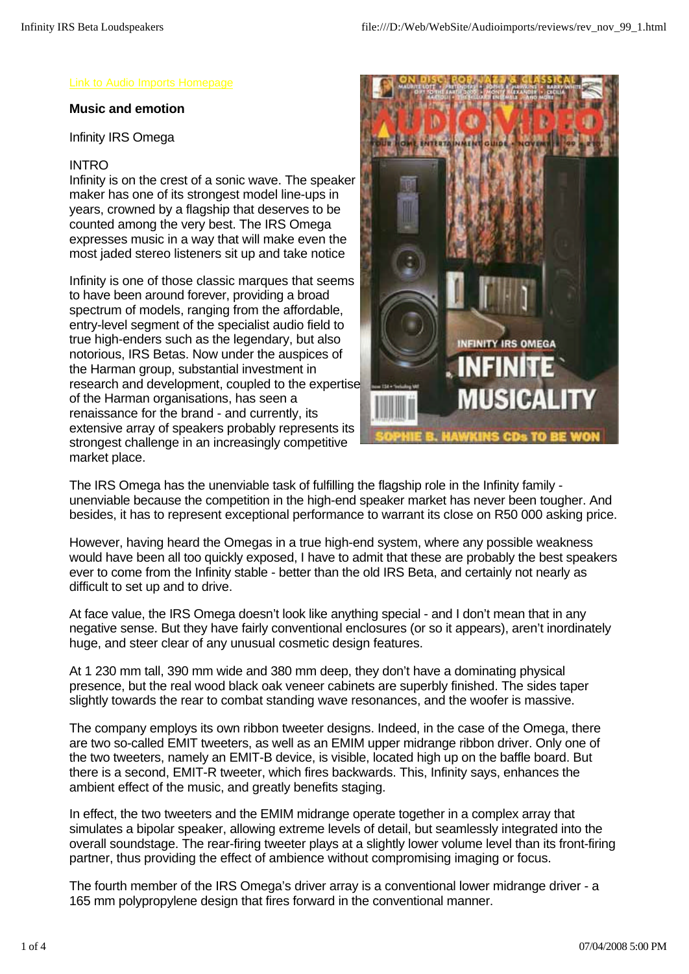#### **Music and emotion**

Infinity IRS Omega

#### INTRO

Infinity is on the crest of a sonic wave. The speaker maker has one of its strongest model line-ups in years, crowned by a flagship that deserves to be counted among the very best. The IRS Omega expresses music in a way that will make even the most jaded stereo listeners sit up and take notice

Infinity is one of those classic marques that seems to have been around forever, providing a broad spectrum of models, ranging from the affordable, entry-level segment of the specialist audio field to true high-enders such as the legendary, but also notorious, IRS Betas. Now under the auspices of the Harman group, substantial investment in research and development, coupled to the expertise of the Harman organisations, has seen a renaissance for the brand - and currently, its extensive array of speakers probably represents its strongest challenge in an increasingly competitive market place.



The IRS Omega has the unenviable task of fulfilling the flagship role in the Infinity family unenviable because the competition in the high-end speaker market has never been tougher. And besides, it has to represent exceptional performance to warrant its close on R50 000 asking price.

However, having heard the Omegas in a true high-end system, where any possible weakness would have been all too quickly exposed, I have to admit that these are probably the best speakers ever to come from the Infinity stable - better than the old IRS Beta, and certainly not nearly as difficult to set up and to drive.

At face value, the IRS Omega doesn't look like anything special - and I don't mean that in any negative sense. But they have fairly conventional enclosures (or so it appears), aren't inordinately huge, and steer clear of any unusual cosmetic design features.

At 1 230 mm tall, 390 mm wide and 380 mm deep, they don't have a dominating physical presence, but the real wood black oak veneer cabinets are superbly finished. The sides taper slightly towards the rear to combat standing wave resonances, and the woofer is massive.

The company employs its own ribbon tweeter designs. Indeed, in the case of the Omega, there are two so-called EMIT tweeters, as well as an EMIM upper midrange ribbon driver. Only one of the two tweeters, namely an EMIT-B device, is visible, located high up on the baffle board. But there is a second, EMIT-R tweeter, which fires backwards. This, Infinity says, enhances the ambient effect of the music, and greatly benefits staging.

In effect, the two tweeters and the EMIM midrange operate together in a complex array that simulates a bipolar speaker, allowing extreme levels of detail, but seamlessly integrated into the overall soundstage. The rear-firing tweeter plays at a slightly lower volume level than its front-firing partner, thus providing the effect of ambience without compromising imaging or focus.

The fourth member of the IRS Omega's driver array is a conventional lower midrange driver - a 165 mm polypropylene design that fires forward in the conventional manner.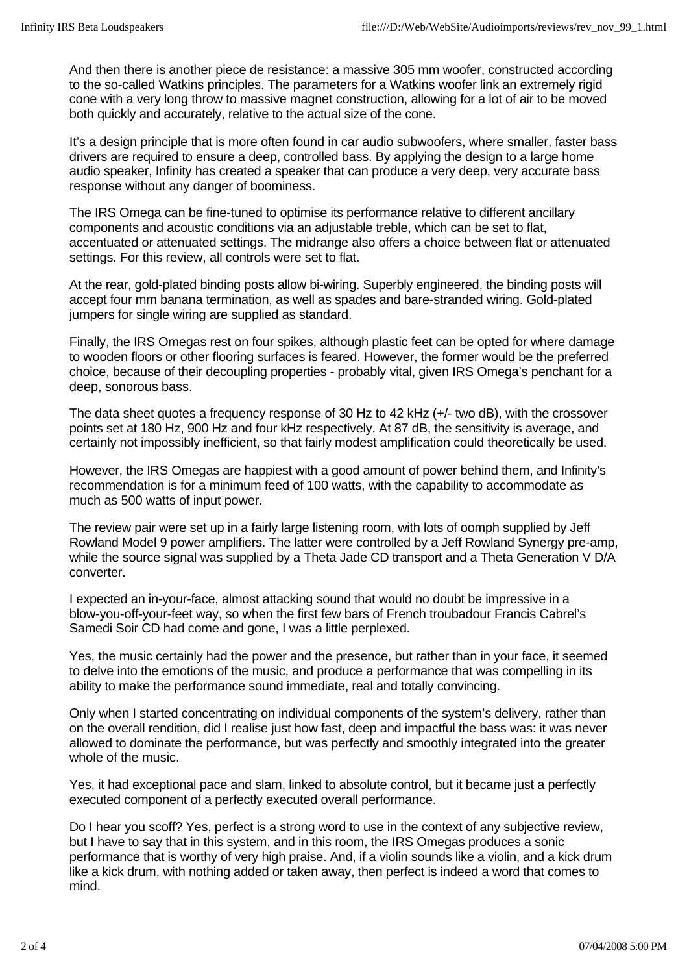And then there is another piece de resistance: a massive 305 mm woofer, constructed according to the so-called Watkins principles. The parameters for a Watkins woofer link an extremely rigid cone with a very long throw to massive magnet construction, allowing for a lot of air to be moved both quickly and accurately, relative to the actual size of the cone.

It's a design principle that is more often found in car audio subwoofers, where smaller, faster bass drivers are required to ensure a deep, controlled bass. By applying the design to a large home audio speaker, Infinity has created a speaker that can produce a very deep, very accurate bass response without any danger of boominess.

The IRS Omega can be fine-tuned to optimise its performance relative to different ancillary components and acoustic conditions via an adjustable treble, which can be set to flat, accentuated or attenuated settings. The midrange also offers a choice between flat or attenuated settings. For this review, all controls were set to flat.

At the rear, gold-plated binding posts allow bi-wiring. Superbly engineered, the binding posts will accept four mm banana termination, as well as spades and bare-stranded wiring. Gold-plated jumpers for single wiring are supplied as standard.

Finally, the IRS Omegas rest on four spikes, although plastic feet can be opted for where damage to wooden floors or other flooring surfaces is feared. However, the former would be the preferred choice, because of their decoupling properties - probably vital, given IRS Omega's penchant for a deep, sonorous bass.

The data sheet quotes a frequency response of 30 Hz to 42 kHz (+/- two dB), with the crossover points set at 180 Hz, 900 Hz and four kHz respectively. At 87 dB, the sensitivity is average, and certainly not impossibly inefficient, so that fairly modest amplification could theoretically be used.

However, the IRS Omegas are happiest with a good amount of power behind them, and Infinity's recommendation is for a minimum feed of 100 watts, with the capability to accommodate as much as 500 watts of input power.

The review pair were set up in a fairly large listening room, with lots of oomph supplied by Jeff Rowland Model 9 power amplifiers. The latter were controlled by a Jeff Rowland Synergy pre-amp, while the source signal was supplied by a Theta Jade CD transport and a Theta Generation V D/A converter.

I expected an in-your-face, almost attacking sound that would no doubt be impressive in a blow-you-off-your-feet way, so when the first few bars of French troubadour Francis Cabrel's Samedi Soir CD had come and gone, I was a little perplexed.

Yes, the music certainly had the power and the presence, but rather than in your face, it seemed to delve into the emotions of the music, and produce a performance that was compelling in its ability to make the performance sound immediate, real and totally convincing.

Only when I started concentrating on individual components of the system's delivery, rather than on the overall rendition, did I realise just how fast, deep and impactful the bass was: it was never allowed to dominate the performance, but was perfectly and smoothly integrated into the greater whole of the music.

Yes, it had exceptional pace and slam, linked to absolute control, but it became just a perfectly executed component of a perfectly executed overall performance.

Do I hear you scoff? Yes, perfect is a strong word to use in the context of any subjective review, but I have to say that in this system, and in this room, the IRS Omegas produces a sonic performance that is worthy of very high praise. And, if a violin sounds like a violin, and a kick drum like a kick drum, with nothing added or taken away, then perfect is indeed a word that comes to mind.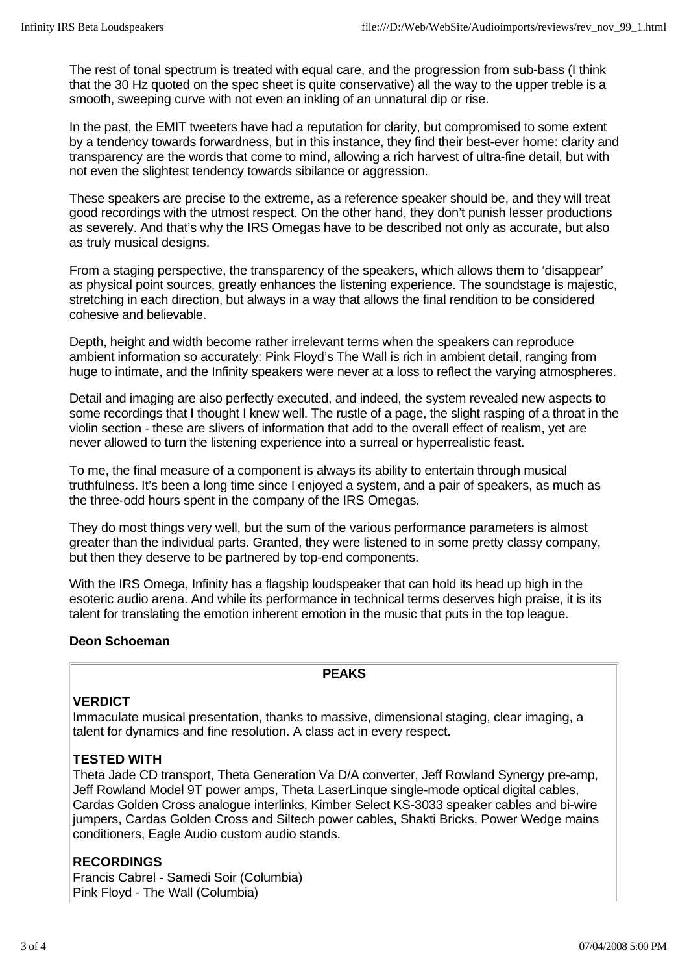The rest of tonal spectrum is treated with equal care, and the progression from sub-bass (I think that the 30 Hz quoted on the spec sheet is quite conservative) all the way to the upper treble is a smooth, sweeping curve with not even an inkling of an unnatural dip or rise.

In the past, the EMIT tweeters have had a reputation for clarity, but compromised to some extent by a tendency towards forwardness, but in this instance, they find their best-ever home: clarity and transparency are the words that come to mind, allowing a rich harvest of ultra-fine detail, but with not even the slightest tendency towards sibilance or aggression.

These speakers are precise to the extreme, as a reference speaker should be, and they will treat good recordings with the utmost respect. On the other hand, they don't punish lesser productions as severely. And that's why the IRS Omegas have to be described not only as accurate, but also as truly musical designs.

From a staging perspective, the transparency of the speakers, which allows them to 'disappear' as physical point sources, greatly enhances the listening experience. The soundstage is majestic, stretching in each direction, but always in a way that allows the final rendition to be considered cohesive and believable.

Depth, height and width become rather irrelevant terms when the speakers can reproduce ambient information so accurately: Pink Floyd's The Wall is rich in ambient detail, ranging from huge to intimate, and the Infinity speakers were never at a loss to reflect the varying atmospheres.

Detail and imaging are also perfectly executed, and indeed, the system revealed new aspects to some recordings that I thought I knew well. The rustle of a page, the slight rasping of a throat in the violin section - these are slivers of information that add to the overall effect of realism, yet are never allowed to turn the listening experience into a surreal or hyperrealistic feast.

To me, the final measure of a component is always its ability to entertain through musical truthfulness. It's been a long time since I enjoyed a system, and a pair of speakers, as much as the three-odd hours spent in the company of the IRS Omegas.

They do most things very well, but the sum of the various performance parameters is almost greater than the individual parts. Granted, they were listened to in some pretty classy company, but then they deserve to be partnered by top-end components.

With the IRS Omega, Infinity has a flagship loudspeaker that can hold its head up high in the esoteric audio arena. And while its performance in technical terms deserves high praise, it is its talent for translating the emotion inherent emotion in the music that puts in the top league.

# **Deon Schoeman**

# **PEAKS**

# **VERDICT**

Immaculate musical presentation, thanks to massive, dimensional staging, clear imaging, a talent for dynamics and fine resolution. A class act in every respect.

# **TESTED WITH**

Theta Jade CD transport, Theta Generation Va D/A converter, Jeff Rowland Synergy pre-amp, Jeff Rowland Model 9T power amps, Theta LaserLinque single-mode optical digital cables, Cardas Golden Cross analogue interlinks, Kimber Select KS-3033 speaker cables and bi-wire jumpers, Cardas Golden Cross and Siltech power cables, Shakti Bricks, Power Wedge mains conditioners, Eagle Audio custom audio stands.

# **RECORDINGS**

Francis Cabrel - Samedi Soir (Columbia) Pink Floyd - The Wall (Columbia)